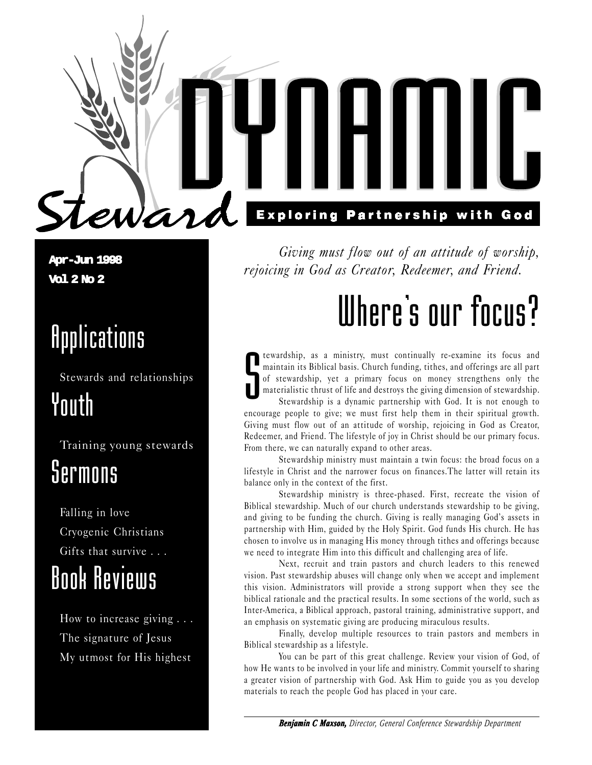**Apr-Jun 1998 Vol 2 No 2**

### Applications

Stewards and relationships Youth

ward

Training young stewards

### Sermons

Falling in love Cryogenic Christians Gifts that survive . . .

### Book Reviews

How to increase giving . . . The signature of Jesus My utmost for His highest

**Exploring Partnership with God** 

Giving must flow out of an attitude of worship, rejoicing in God as Creator, Redeemer, and Friend.

## Where's our focus?

S<br>S tewardship, as a ministry, must continually re-examine its focus and maintain its Biblical basis. Church funding, tithes, and offerings are all part of stewardship, yet a primary focus on money strengthens only the materialistic thrust of life and destroys the giving dimension of stewardship.

Stewardship is a dynamic partnership with God. It is not enough to encourage people to give; we must first help them in their spiritual growth. Giving must flow out of an attitude of worship, rejoicing in God as Creator, Redeemer, and Friend. The lifestyle of joy in Christ should be our primary focus. From there, we can naturally expand to other areas.

Stewardship ministry must maintain a twin focus: the broad focus on a lifestyle in Christ and the narrower focus on finances.The latter will retain its balance only in the context of the first.

Stewardship ministry is three-phased. First, recreate the vision of Biblical stewardship. Much of our church understands stewardship to be giving, and giving to be funding the church. Giving is really managing God's assets in partnership with Him, guided by the Holy Spirit. God funds His church. He has chosen to involve us in managing His money through tithes and offerings because we need to integrate Him into this difficult and challenging area of life.

Next, recruit and train pastors and church leaders to this renewed vision. Past stewardship abuses will change only when we accept and implement this vision. Administrators will provide a strong support when they see the biblical rationale and the practical results. In some sections of the world, such as Inter-America, a Biblical approach, pastoral training, administrative support, and an emphasis on systematic giving are producing miraculous results.

Finally, develop multiple resources to train pastors and members in Biblical stewardship as a lifestyle.

You can be part of this great challenge. Review your vision of God, of how He wants to be involved in your life and ministry. Commit yourself to sharing a greater vision of partnership with God. Ask Him to guide you as you develop materials to reach the people God has placed in your care.

*Benjamin C Maxson, Director, General Conference Stewardship Department*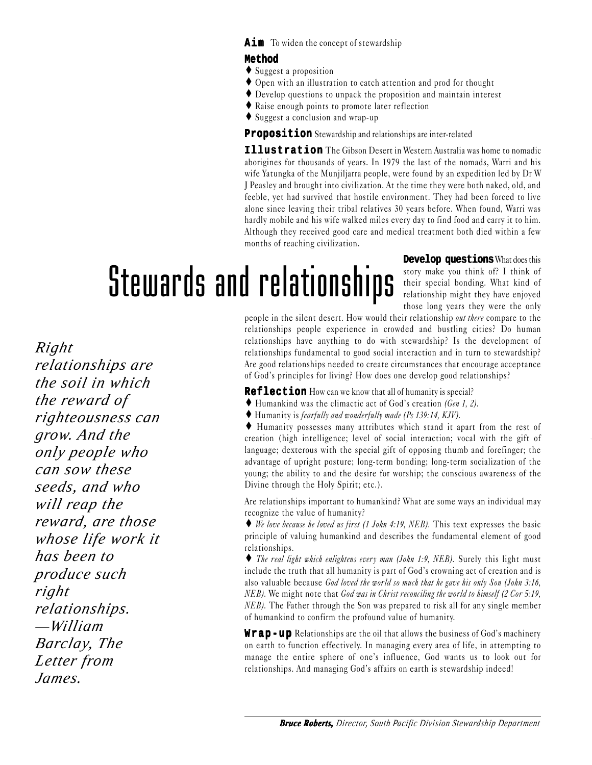#### **Method**

- ♦ Suggest a proposition
- ♦ Open with an illustration to catch attention and prod for thought
- ♦ Develop questions to unpack the proposition and maintain interest
- ♦ Raise enough points to promote later reflection
- ♦ Suggest a conclusion and wrap-up

**Proposition** Stewardship and relationships are inter-related

**Illustration** The Gibson Desert in Western Australia was home to nomadic aborigines for thousands of years. In 1979 the last of the nomads, Warri and his wife Yatungka of the Munjiljarra people, were found by an expedition led by Dr W J Peasley and brought into civilization. At the time they were both naked, old, and feeble, yet had survived that hostile environment. They had been forced to live alone since leaving their tribal relatives 30 years before. When found, Warri was hardly mobile and his wife walked miles every day to find food and carry it to him. Although they received good care and medical treatment both died within a few months of reaching civilization.

## Stewards and relationships

**Develop questions**What does this story make you think of? I think of their special bonding. What kind of relationship might they have enjoyed those long years they were the only

*Right relationships are the soil in which the reward of righteousness can grow. And the only people who can sow these seeds, and who will reap the reward, are those whose life work it has been to produce such right relationships. —William Barclay, The Letter from James.*

people in the silent desert. How would their relationship out there compare to the relationships people experience in crowded and bustling cities? Do human relationships have anything to do with stewardship? Is the development of relationships fundamental to good social interaction and in turn to stewardship? Are good relationships needed to create circumstances that encourage acceptance of God's principles for living? How does one develop good relationships?

**Reflection** How can we know that all of humanity is special?

- $\blacklozenge$  Humankind was the climactic act of God's creation (Gen 1, 2).
- ♦ Humanity is fearfully and wonderfully made (Ps 139:14, KJV).

♦ Humanity possesses many attributes which stand it apart from the rest of creation (high intelligence; level of social interaction; vocal with the gift of language; dexterous with the special gift of opposing thumb and forefinger; the advantage of upright posture; long-term bonding; long-term socialization of the young; the ability to and the desire for worship; the conscious awareness of the Divine through the Holy Spirit; etc.).

Are relationships important to humankind? What are some ways an individual may recognize the value of humanity?

♦ We love because he loved us first (1 John 4:19, NEB). This text expresses the basic principle of valuing humankind and describes the fundamental element of good relationships.

♦ The real light which enlightens every man (John 1:9, NEB). Surely this light must include the truth that all humanity is part of God's crowning act of creation and is also valuable because God loved the world so much that he gave his only Son (John 3:16, NEB). We might note that God was in Christ reconciling the world to himself (2 Cor 5:19, NEB). The Father through the Son was prepared to risk all for any single member of humankind to confirm the profound value of humanity.

**Wrap-up** Relationships are the oil that allows the business of God's machinery on earth to function effectively. In managing every area of life, in attempting to manage the entire sphere of one's influence, God wants us to look out for relationships. And managing God's affairs on earth is stewardship indeed!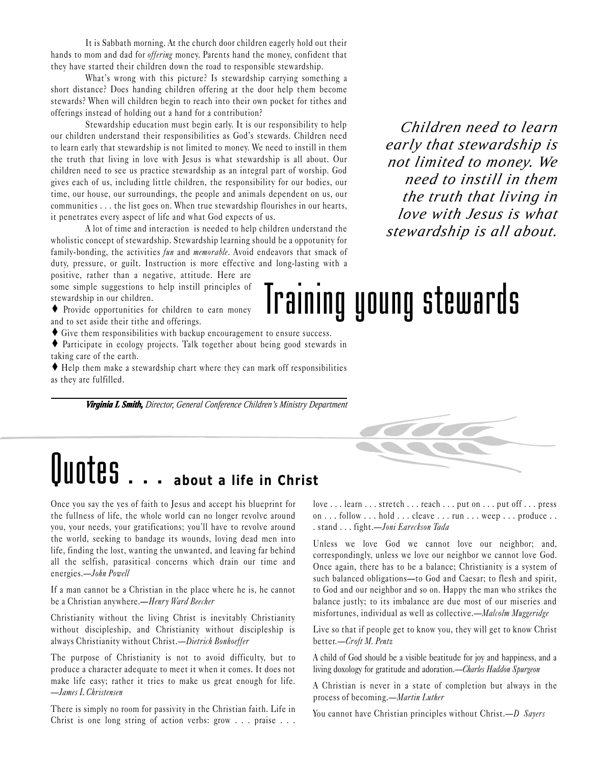It is Sabbath morning. At the church door children eagerly hold out their hands to mom and dad for offering money. Parents hand the money, confident that they have started their children down the road to responsible stewardship.

What's wrong with this picture? Is stewardship carrying something a short distance? Does handing children offering at the door help them become stewards? When will children begin to reach into their own pocket for tithes and offerings instead of holding out a hand for a contribution?

Stewardship education must begin early. It is our responsibility to help our children understand their responsibilities as God's stewards. Children need to learn early that stewardship is not limited to money. We need to instill in them the truth that living in love with Jesus is what stewardship is all about. Our children need to see us practice stewardship as an integral part of worship. God gives each of us, including little children, the responsibility for our bodies, our time, our house, our surroundings, the people and animals dependent on us, our communities . . . the list goes on. When true stewardship flourishes in our hearts, it penetrates every aspect of life and what God expects of us.

A lot of time and interaction is needed to help children understand the wholistic concept of stewardship. Stewardship learning should be a oppotunity for family-bonding, the activities fun and memorable. Avoid endeavors that smack of duty, pressure, or guilt. Instruction is more effective and long-lasting with a

positive, rather than a negative, attitude. Here are some simple suggestions to help instill principles of stewardship in our children.

♦ Provide opportunities for children to earn money and to set aside their tithe and offerings.

- ♦ Give them responsibilities with backup encouragement to ensure success.
- ♦ Participate in ecology projects. Talk together about being good stewards in taking care of the earth.
- ♦ Help them make a stewardship chart where they can mark off responsibilities as they are fulfilled.

*Virginia L Smith, inia L Smith, Director, General Conference Children's Ministry Department*

### *Children need to learn early that stewardship is not limited to money. We need to instill in them the truth that living in love with Jesus is what stewardship is all about.*

### Training young stewards



Once you say the yes of faith to Jesus and accept his blueprint for the fullness of life, the whole world can no longer revolve around you, your needs, your gratifications; you'll have to revolve around the world, seeking to bandage its wounds, loving dead men into life, finding the lost, wanting the unwanted, and leaving far behind all the selfish, parasitical concerns which drain our time and energies.John Powell

If a man cannot be a Christian in the place where he is, he cannot be a Christian anywhere.—Henry Ward Beecher

Christianity without the living Christ is inevitably Christianity without discipleship, and Christianity without discipleship is always Christianity without Christ.—Dietrich Bonhoeffer

The purpose of Christianity is not to avoid difficulty, but to produce a character adequate to meet it when it comes. It does not make life easy; rather it tries to make us great enough for life. James L Christensen

There is simply no room for passivity in the Christian faith. Life in Christ is one long string of action verbs: grow . . . praise . . .

love . . . learn . . . stretch . . . reach . . . put on . . . put off . . . press on . . . follow . . . hold . . . cleave . . . run . . . weep . . . produce . . . stand . . . fight. - Joni Eareckson Tada

Unless we love God we cannot love our neighbor; and, correspondingly, unless we love our neighbor we cannot love God. Once again, there has to be a balance; Christianity is a system of such balanced obligations-to God and Caesar; to flesh and spirit, to God and our neighbor and so on. Happy the man who strikes the balance justly; to its imbalance are due most of our miseries and misfortunes, individual as well as collective.—Malcolm Muggeridge

Live so that if people get to know you, they will get to know Christ better.-Croft M. Pentz

A child of God should be a visible beatitude for joy and happiness, and a living doxology for gratitude and adoration.-Charles Haddon Spurgeon

A Christian is never in a state of completion but always in the process of becoming.—Martin Luther

You cannot have Christian principles without Christ.— $D$  Sayers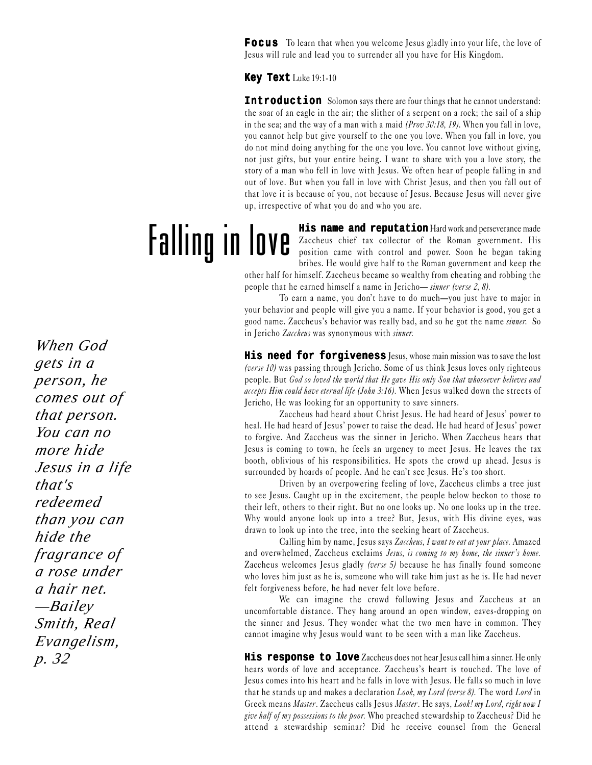**Focus** To learn that when you welcome Jesus gladly into your life, the love of Jesus will rule and lead you to surrender all you have for His Kingdom.

**Key Text** Luke 19:1-10

**Introduction** Solomon says there are four things that he cannot understand: the soar of an eagle in the air; the slither of a serpent on a rock; the sail of a ship in the sea; and the way of a man with a maid  $(Prov 30:18, 19)$ . When you fall in love, you cannot help but give yourself to the one you love. When you fall in love, you do not mind doing anything for the one you love. You cannot love without giving, not just gifts, but your entire being. I want to share with you a love story, the story of a man who fell in love with Jesus. We often hear of people falling in and out of love. But when you fall in love with Christ Jesus, and then you fall out of that love it is because of you, not because of Jesus. Because Jesus will never give up, irrespective of what you do and who you are.

Falling in love **His name and reputation** Hard work and perseverance made Zaccheus chief tax collector of the Roman government. His position came with control and power. Soon he began taking bribes. He would give half to the Roman government and keep the

other half for himself. Zaccheus became so wealthy from cheating and robbing the people that he earned himself a name in Jericho- sinner (verse 2, 8).

To earn a name, you don't have to do much—you just have to major in your behavior and people will give you a name. If your behavior is good, you get a good name. Zaccheus's behavior was really bad, and so he got the name *sinner*. So in Jericho Zaccheus was synonymous with sinner.

**His need for forgiveness** Jesus, whose main mission was to save the lost (verse 10) was passing through Jericho. Some of us think Jesus loves only righteous people. But God so loved the world that He gave His only Son that whosoever believes and accepts Him could have eternal life (John 3:16). When Jesus walked down the streets of Jericho, He was looking for an opportunity to save sinners.

Zaccheus had heard about Christ Jesus. He had heard of Jesus' power to heal. He had heard of Jesus' power to raise the dead. He had heard of Jesus' power to forgive. And Zaccheus was the sinner in Jericho. When Zaccheus hears that Jesus is coming to town, he feels an urgency to meet Jesus. He leaves the tax booth, oblivious of his responsibilities. He spots the crowd up ahead. Jesus is surrounded by hoards of people. And he can't see Jesus. He's too short.

Driven by an overpowering feeling of love, Zaccheus climbs a tree just to see Jesus. Caught up in the excitement, the people below beckon to those to their left, others to their right. But no one looks up. No one looks up in the tree. Why would anyone look up into a tree? But, Jesus, with His divine eyes, was drawn to look up into the tree, into the seeking heart of Zaccheus.

Calling him by name, Jesus says Zaccheus, I want to eat at your place. Amazed and overwhelmed, Zaccheus exclaims Jesus, is coming to my home, the sinner's home. Zaccheus welcomes Jesus gladly (verse 5) because he has finally found someone who loves him just as he is, someone who will take him just as he is. He had never felt forgiveness before, he had never felt love before.

We can imagine the crowd following Jesus and Zaccheus at an uncomfortable distance. They hang around an open window, eaves-dropping on the sinner and Jesus. They wonder what the two men have in common. They cannot imagine why Jesus would want to be seen with a man like Zaccheus.

**His response to love** Zaccheus does not hear Jesus call him a sinner. He only hears words of love and acceptance. Zaccheus's heart is touched. The love of Jesus comes into his heart and he falls in love with Jesus. He falls so much in love that he stands up and makes a declaration *Look, my Lord (verse 8)*. The word *Lord* in Greek means Master. Zaccheus calls Jesus Master. He says, Look! my Lord, right now I give half of my possessions to the poor. Who preached stewardship to Zaccheus? Did he attend a stewardship seminar? Did he receive counsel from the General

*When God gets in a person, he comes out of that person. You can no more hide Jesus in a life that's redeemed than you can hide the fragrance of a rose under a hair net. —Bailey Smith, Real Evangelism, p. 32*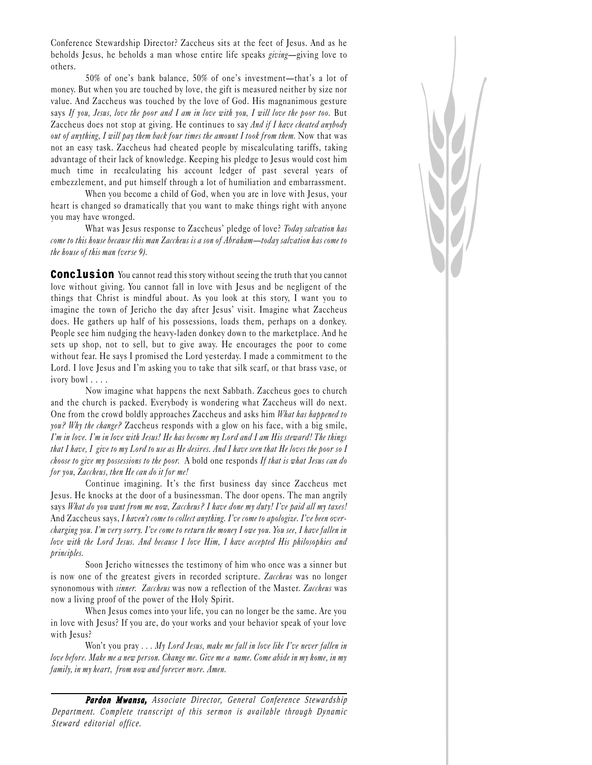Conference Stewardship Director? Zaccheus sits at the feet of Jesus. And as he beholds Jesus, he beholds a man whose entire life speaks giving-giving love to others.

50% of one's bank balance, 50% of one's investment-that's a lot of money. But when you are touched by love, the gift is measured neither by size nor value. And Zaccheus was touched by the love of God. His magnanimous gesture says If you, Jesus, love the poor and I am in love with you, I will love the poor too. But Zaccheus does not stop at giving. He continues to say And if I have cheated anybody out of anything, I will pay them back four times the amount I took from them. Now that was not an easy task. Zaccheus had cheated people by miscalculating tariffs, taking advantage of their lack of knowledge. Keeping his pledge to Jesus would cost him much time in recalculating his account ledger of past several years of embezzlement, and put himself through a lot of humiliation and embarrassment.

When you become a child of God, when you are in love with Jesus, your heart is changed so dramatically that you want to make things right with anyone you may have wronged.

What was Jesus response to Zaccheus' pledge of love? Today salvation has come to this house because this man Zaccheus is a son of Abraham—today salvation has come to the house of this man (verse 9).

**Conclusion** You cannot read this story without seeing the truth that you cannot love without giving. You cannot fall in love with Jesus and be negligent of the things that Christ is mindful about. As you look at this story, I want you to imagine the town of Jericho the day after Jesus' visit. Imagine what Zaccheus does. He gathers up half of his possessions, loads them, perhaps on a donkey. People see him nudging the heavy-laden donkey down to the marketplace. And he sets up shop, not to sell, but to give away. He encourages the poor to come without fear. He says I promised the Lord yesterday. I made a commitment to the Lord. I love Jesus and I'm asking you to take that silk scarf, or that brass vase, or ivory bowl . . . .

Now imagine what happens the next Sabbath. Zaccheus goes to church and the church is packed. Everybody is wondering what Zaccheus will do next. One from the crowd boldly approaches Zaccheus and asks him What has happened to you? Why the change? Zaccheus responds with a glow on his face, with a big smile, Im in love. Im in love with Jesus! He has become my Lord and I am His steward! The things that I have, I give to my Lord to use as He desires. And I have seen that He loves the poor so I choose to give my possessions to the poor. A bold one responds If that is what Jesus can do for you, Zaccheus, then He can do it for me!

Continue imagining. It's the first business day since Zaccheus met Jesus. He knocks at the door of a businessman. The door opens. The man angrily says What do you want from me now, Zaccheus? I have done my duty! I've paid all my taxes! And Zaccheus says, I haven't come to collect anything. I've come to apologize. I've been overcharging you. I'm very sorry. I've come to return the money I owe you. You see, I have fallen in love with the Lord Jesus. And because I love Him, I have accepted His philosophies and principles.

Soon Jericho witnesses the testimony of him who once was a sinner but is now one of the greatest givers in recorded scripture. Zaccheus was no longer synonomous with sinner. Zaccheus was now a reflection of the Master. Zaccheus was now a living proof of the power of the Holy Spirit.

When Jesus comes into your life, you can no longer be the same. Are you in love with Jesus? If you are, do your works and your behavior speak of your love with Jesus?

Won't you pray  $\ldots$  My Lord Jesus, make me fall in love like I've never fallen in love before. Make me a new person. Change me. Give me a name. Come abide in my home, in my family, in my heart, from now and forever more. Amen.

*Pa <sup>r</sup> don Mwansa, Associate Director, General Conference Stewardship Department. Complete transcript of this sermon is available through Dynamic Steward editorial office.*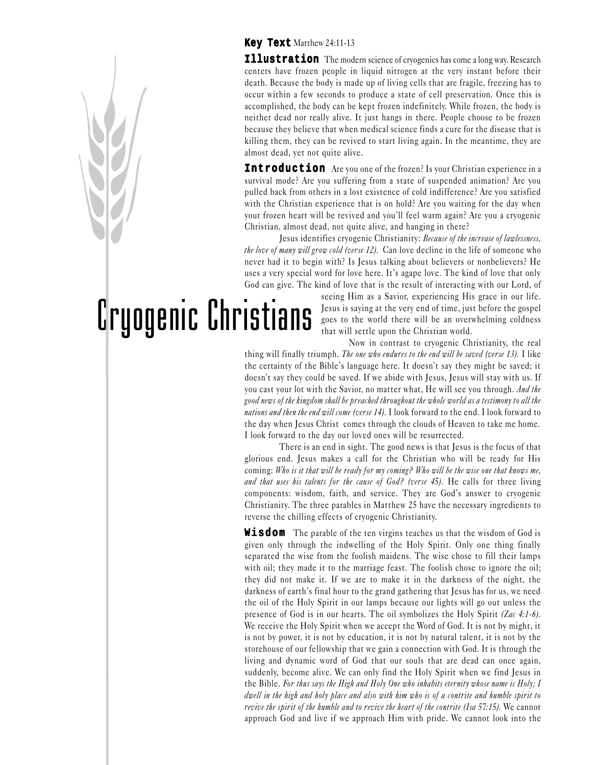#### **Key Text** Matthew 24:11-13

**Illustration** The modern science of cryogenics has come a long way. Research centers have frozen people in liquid nitrogen at the very instant before their death. Because the body is made up of living cells that are fragile, freezing has to occur within a few seconds to produce a state of cell preservation. Once this is accomplished, the body can be kept frozen indefinitely. While frozen, the body is neither dead nor really alive. It just hangs in there. People choose to be frozen because they believe that when medical science finds a cure for the disease that is killing them, they can be revived to start living again. In the meantime, they are almost dead, yet not quite alive.

**Introduction** Are you one of the frozen? Is your Christian experience in a survival mode? Are you suffering from a state of suspended animation? Are you pulled back from others in a lost existence of cold indifference? Are you satisfied with the Christian experience that is on hold? Are you waiting for the day when your frozen heart will be revived and you'll feel warm again? Are you a cryogenic Christian, almost dead, not quite alive, and hanging in there?

Jesus identifies cryogenic Christianity: Because of the increase of lawlessness, the love of many will grow cold (verse 12). Can love decline in the life of someone who never had it to begin with? Is Jesus talking about believers or nonbelievers? He uses a very special word for love here. It's agape love. The kind of love that only God can give. The kind of love that is the result of interacting with our Lord, of

# Cryogenic Christians

seeing Him as a Savior, experiencing His grace in our life. Jesus is saying at the very end of time, just before the gospel goes to the world there will be an overwhelming coldness that will settle upon the Christian world.

Now in contrast to cryogenic Christianity, the real thing will finally triumph. The one who endures to the end will be saved (verse 13). I like the certainty of the Bible's language here. It doesn't say they might be saved; it doesn't say they could be saved. If we abide with Jesus, Jesus will stay with us. If you cast your lot with the Savior, no matter what, He will see you through. And the good news of the kingdom shall be preached throughout the whole world as a testimony to all the nations and then the end will come (verse 14). I look forward to the end. I look forward to the day when Jesus Christ comes through the clouds of Heaven to take me home. I look forward to the day our loved ones will be resurrected.

There is an end in sight. The good news is that Jesus is the focus of that glorious end. Jesus makes a call for the Christian who will be ready for His coming: Who is it that will be ready for my coming? Who will be the wise one that knows me, and that uses his talents for the cause of God? (verse 45). He calls for three living components: wisdom, faith, and service. They are God's answer to cryogenic Christianity. The three parables in Matthew 25 have the necessary ingredients to reverse the chilling effects of cryogenic Christianity.

**Wisdom** The parable of the ten virgins teaches us that the wisdom of God is given only through the indwelling of the Holy Spirit. Only one thing finally separated the wise from the foolish maidens. The wise chose to fill their lamps with oil; they made it to the marriage feast. The foolish chose to ignore the oil; they did not make it. If we are to make it in the darkness of the night, the darkness of earth's final hour to the grand gathering that Jesus has for us, we need the oil of the Holy Spirit in our lamps because our lights will go out unless the presence of God is in our hearts. The oil symbolizes the Holy Spirit (Zac 4:1-6). We receive the Holy Spirit when we accept the Word of God. It is not by might, it is not by power, it is not by education, it is not by natural talent, it is not by the storehouse of our fellowship that we gain a connection with God. It is through the living and dynamic word of God that our souls that are dead can once again, suddenly, become alive. We can only find the Holy Spirit when we find Jesus in the Bible. For thus says the High and Holy One who inhabits eternity whose name is Holy; I dwell in the high and holy place and also with him who is of a contrite and humble spirit to revive the spirit of the humble and to revive the heart of the contrite (Isa 57:15). We cannot approach God and live if we approach Him with pride. We cannot look into the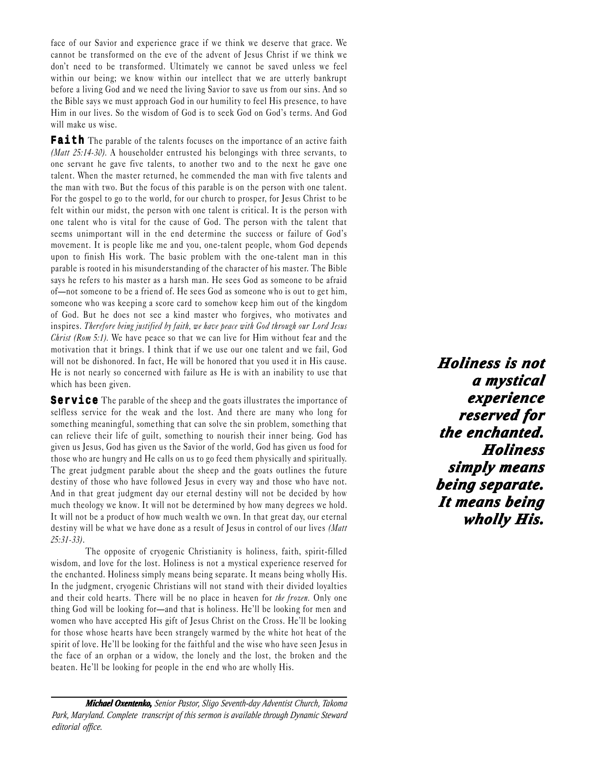face of our Savior and experience grace if we think we deserve that grace. We cannot be transformed on the eve of the advent of Jesus Christ if we think we don't need to be transformed. Ultimately we cannot be saved unless we feel within our being; we know within our intellect that we are utterly bankrupt before a living God and we need the living Savior to save us from our sins. And so the Bible says we must approach God in our humility to feel His presence, to have Him in our lives. So the wisdom of God is to seek God on God's terms. And God will make us wise.

Faith The parable of the talents focuses on the importance of an active faith (*Matt 25:14-30*). A householder entrusted his belongings with three servants, to one servant he gave five talents, to another two and to the next he gave one talent. When the master returned, he commended the man with five talents and the man with two. But the focus of this parable is on the person with one talent. For the gospel to go to the world, for our church to prosper, for Jesus Christ to be felt within our midst, the person with one talent is critical. It is the person with one talent who is vital for the cause of God. The person with the talent that seems unimportant will in the end determine the success or failure of God's movement. It is people like me and you, one-talent people, whom God depends upon to finish His work. The basic problem with the one-talent man in this parable is rooted in his misunderstanding of the character of his master. The Bible says he refers to his master as a harsh man. He sees God as someone to be afraid of—not someone to be a friend of. He sees God as someone who is out to get him, someone who was keeping a score card to somehow keep him out of the kingdom of God. But he does not see a kind master who forgives, who motivates and inspires. Therefore being justified by faith, we have peace with God through our Lord Jesus Christ (Rom 5:1). We have peace so that we can live for Him without fear and the motivation that it brings. I think that if we use our one talent and we fail, God will not be dishonored. In fact, He will be honored that you used it in His cause. He is not nearly so concerned with failure as He is with an inability to use that which has been given.

**Service** The parable of the sheep and the goats illustrates the importance of selfless service for the weak and the lost. And there are many who long for something meaningful, something that can solve the sin problem, something that can relieve their life of guilt, something to nourish their inner being. God has given us Jesus, God has given us the Savior of the world, God has given us food for those who are hungry and He calls on us to go feed them physically and spiritually. The great judgment parable about the sheep and the goats outlines the future destiny of those who have followed Jesus in every way and those who have not. And in that great judgment day our eternal destiny will not be decided by how much theology we know. It will not be determined by how many degrees we hold. It will not be a product of how much wealth we own. In that great day, our eternal destiny will be what we have done as a result of Jesus in control of our lives *(Matt*)  $25:31-33$ .

The opposite of cryogenic Christianity is holiness, faith, spirit-filled wisdom, and love for the lost. Holiness is not a mystical experience reserved for the enchanted. Holiness simply means being separate. It means being wholly His. In the judgment, cryogenic Christians will not stand with their divided loyalties and their cold hearts. There will be no place in heaven for the frozen. Only one thing God will be looking for—and that is holiness. He'll be looking for men and women who have accepted His gift of Jesus Christ on the Cross. He'll be looking for those whose hearts have been strangely warmed by the white hot heat of the spirit of love. He'll be looking for the faithful and the wise who have seen Jesus in the face of an orphan or a widow, the lonely and the lost, the broken and the beaten. He'll be looking for people in the end who are wholly His.

*Michael Oxentenko, Senior Pastor, Sligo Seventh-day Adventist Church, Takoma Park, Maryland. Complete transcript of this sermon is available through Dynamic Steward editorial office.*

*Holiness is not Holiness is not a mystical <sup>a</sup> experience experience reserved for the enchanted. Holiness Holiness simply means simply means being separate. separate. It means being means being wholly His. wholly wholly His.*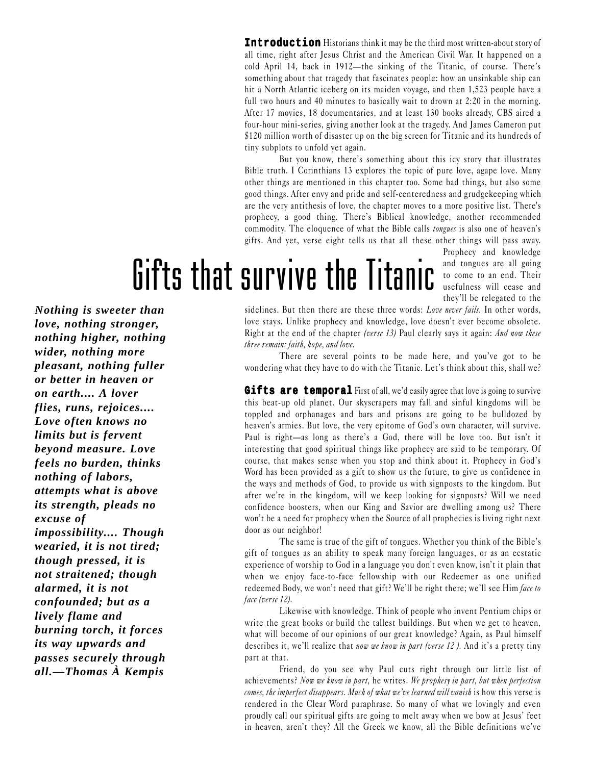**Introduction** Historians think it may be the third most written-about story of all time, right after Jesus Christ and the American Civil War. It happened on a cold April 14, back in  $1912$ —the sinking of the Titanic, of course. There's something about that tragedy that fascinates people: how an unsinkable ship can hit a North Atlantic iceberg on its maiden voyage, and then 1,523 people have a full two hours and 40 minutes to basically wait to drown at 2:20 in the morning. After 17 movies, 18 documentaries, and at least 130 books already, CBS aired a four-hour mini-series, giving another look at the tragedy. And James Cameron put \$120 million worth of disaster up on the big screen for Titanic and its hundreds of tiny subplots to unfold yet again.

But you know, there's something about this icy story that illustrates Bible truth. I Corinthians 13 explores the topic of pure love, agape love. Many other things are mentioned in this chapter too. Some bad things, but also some good things. After envy and pride and self-centeredness and grudgekeeping which are the very antithesis of love, the chapter moves to a more positive list. There's prophecy, a good thing. There's Biblical knowledge, another recommended commodity. The eloquence of what the Bible calls *tongues* is also one of heaven's gifts. And yet, verse eight tells us that all these other things will pass away.

# Gifts that survive the Titanic and tongues are all going

Prophecy and knowledge to come to an end. Their usefulness will cease and theyll be relegated to the

*Nothing is sweeter than love, nothing stronger, nothing higher, nothing wider, nothing more pleasant, nothing fuller or better in heaven or on earth.... A lover flies, runs, rejoices.... Love often knows no limits but is fervent beyond measure. Love feels no burden, thinks nothing of labors, attempts what is above its strength, pleads no excuse of impossibility.... Though wearied, it is not tired; though pressed, it is not straitened; though alarmed, it is not confounded; but as a lively flame and burning torch, it forces its way upwards and passes securely through all.—Thomas À Kempis*

sidelines. But then there are these three words: Love never fails. In other words, love stays. Unlike prophecy and knowledge, love doesn't ever become obsolete. Right at the end of the chapter (verse 13) Paul clearly says it again: And now these three remain: faith, hope, and love.

There are several points to be made here, and you've got to be wondering what they have to do with the Titanic. Let's think about this, shall we?

**Gifts are temporal** First of all, we'd easily agree that love is going to survive this beat-up old planet. Our skyscrapers may fall and sinful kingdoms will be toppled and orphanages and bars and prisons are going to be bulldozed by heaven's armies. But love, the very epitome of God's own character, will survive. Paul is right—as long as there's a God, there will be love too. But isn't it interesting that good spiritual things like prophecy are said to be temporary. Of course, that makes sense when you stop and think about it. Prophecy in God's Word has been provided as a gift to show us the future, to give us confidence in the ways and methods of God, to provide us with signposts to the kingdom. But after we're in the kingdom, will we keep looking for signposts? Will we need confidence boosters, when our King and Savior are dwelling among us? There won't be a need for prophecy when the Source of all prophecies is living right next door as our neighbor!

The same is true of the gift of tongues. Whether you think of the Bible's gift of tongues as an ability to speak many foreign languages, or as an ecstatic experience of worship to God in a language you don't even know, isn't it plain that when we enjoy face-to-face fellowship with our Redeemer as one unified redeemed Body, we won't need that gift? We'll be right there; we'll see Him face to face (verse 12).

Likewise with knowledge. Think of people who invent Pentium chips or write the great books or build the tallest buildings. But when we get to heaven, what will become of our opinions of our great knowledge? Again, as Paul himself describes it, we'll realize that now we know in part (verse 12). And it's a pretty tiny part at that.

Friend, do you see why Paul cuts right through our little list of achievements? Now we know in part, he writes. We prophesy in part, but when perfection comes, the imperfect disappears. Much of what we've learned will vanish is how this verse is rendered in the Clear Word paraphrase. So many of what we lovingly and even proudly call our spiritual gifts are going to melt away when we bow at Jesus' feet in heaven, aren't they? All the Greek we know, all the Bible definitions we've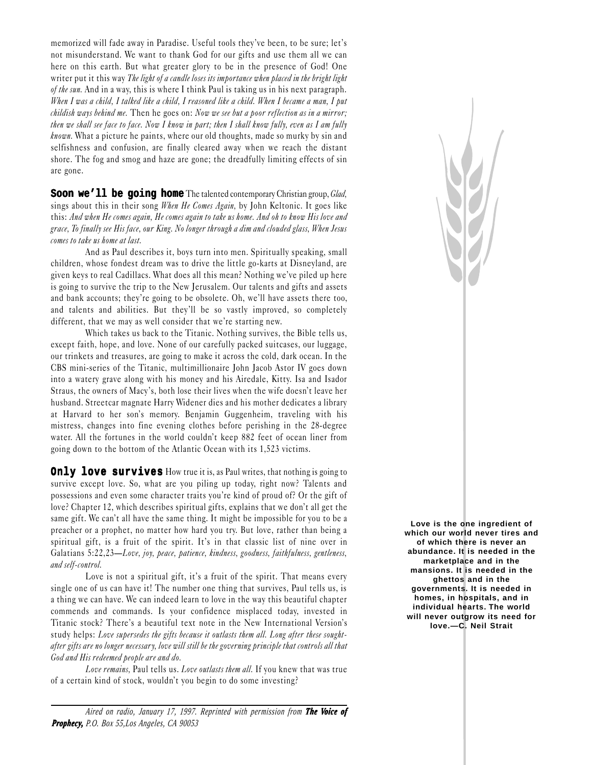memorized will fade away in Paradise. Useful tools they've been, to be sure; let's not misunderstand. We want to thank God for our gifts and use them all we can here on this earth. But what greater glory to be in the presence of God! One writer put it this way The light of a candle loses its importance when placed in the bright light of the sun. And in a way, this is where I think Paul is taking us in his next paragraph. When I was a child, I talked like a child, I reasoned like a child. When I became a man, I put childish ways behind me. Then he goes on: Now we see but a poor reflection as in a mirror; then we shall see face to face. Now I know in part; then I shall know fully, even as I am fully known. What a picture he paints, where our old thoughts, made so murky by sin and selfishness and confusion, are finally cleared away when we reach the distant shore. The fog and smog and haze are gone; the dreadfully limiting effects of sin are gone.

**Soon we'll be going home** The talented contemporary Christian group, *Glad*, sings about this in their song When He Comes Again, by John Keltonic. It goes like this: And when He comes again, He comes again to take us home. And oh to know His love and grace, To finally see His face, our King. No longer through a dim and clouded glass, When Jesus comes to take us home at last.

And as Paul describes it, boys turn into men. Spiritually speaking, small children, whose fondest dream was to drive the little go-karts at Disneyland, are given keys to real Cadillacs. What does all this mean? Nothing we've piled up here is going to survive the trip to the New Jerusalem. Our talents and gifts and assets and bank accounts; they're going to be obsolete. Oh, we'll have assets there too, and talents and abilities. But they'll be so vastly improved, so completely different, that we may as well consider that we're starting new.

Which takes us back to the Titanic. Nothing survives, the Bible tells us, except faith, hope, and love. None of our carefully packed suitcases, our luggage, our trinkets and treasures, are going to make it across the cold, dark ocean. In the CBS mini-series of the Titanic, multimillionaire John Jacob Astor IV goes down into a watery grave along with his money and his Airedale, Kitty. Isa and Isador Straus, the owners of Macy's, both lose their lives when the wife doesn't leave her husband. Streetcar magnate Harry Widener dies and his mother dedicates a library at Harvard to her son's memory. Benjamin Guggenheim, traveling with his mistress, changes into fine evening clothes before perishing in the 28-degree water. All the fortunes in the world couldn't keep 882 feet of ocean liner from going down to the bottom of the Atlantic Ocean with its 1,523 victims.

**Only love survives** How true it is, as Paul writes, that nothing is going to survive except love. So, what are you piling up today, right now? Talents and possessions and even some character traits you're kind of proud of? Or the gift of love? Chapter 12, which describes spiritual gifts, explains that we don't all get the same gift. We can't all have the same thing. It might be impossible for you to be a preacher or a prophet, no matter how hard you try. But love, rather than being a spiritual gift, is a fruit of the spirit. It's in that classic list of nine over in Galatians 5:22,23—Love, joy, peace, patience, kindness, goodness, faithfulness, gentleness, and self-control.

Love is not a spiritual gift, it's a fruit of the spirit. That means every single one of us can have it! The number one thing that survives, Paul tells us, is a thing we can have. We can indeed learn to love in the way this beautiful chapter commends and commands. Is your confidence misplaced today, invested in Titanic stock? There's a beautiful text note in the New International Version's study helps: Love supersedes the gifts because it outlasts them all. Long after these soughtafter gifts are no longer necessary, love will still be the governing principle that controls all that God and His redeemed people are and do.

Love remains, Paul tells us. Love outlasts them all. If you knew that was true of a certain kind of stock, wouldn't you begin to do some investing?

*Aired on radio, January 17, 1997. Reprinted with permission from The Voice of Prophecy, P.O. Box 55,Los Angeles, CA 90053*

**Love is the one ingredient of which our world never tires and of which there is never an abundance. It is needed in the marketplace and in the mansions. It is needed in the ghettos and in the governments. It is needed in homes, in hospitals, and in individual hearts. The world will never outgrow its need for love.—C. Neil Strait**

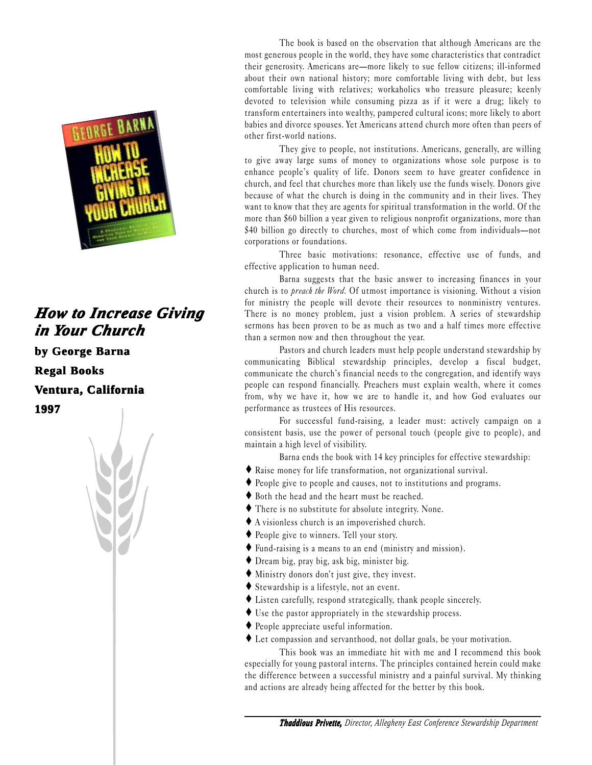

### **How to Increase Giving** *in in Your Chur our Church*

**by George Barna**

**Regal Books Books**

**Ventura, California**

**1997**



The book is based on the observation that although Americans are the most generous people in the world, they have some characteristics that contradict their generosity. Americans are—more likely to sue fellow citizens; ill-informed about their own national history; more comfortable living with debt, but less comfortable living with relatives; workaholics who treasure pleasure; keenly devoted to television while consuming pizza as if it were a drug; likely to transform entertainers into wealthy, pampered cultural icons; more likely to abort babies and divorce spouses. Yet Americans attend church more often than peers of other first-world nations.

They give to people, not institutions. Americans, generally, are willing to give away large sums of money to organizations whose sole purpose is to enhance people's quality of life. Donors seem to have greater confidence in church, and feel that churches more than likely use the funds wisely. Donors give because of what the church is doing in the community and in their lives. They want to know that they are agents for spiritual transformation in the world. Of the more than \$60 billion a year given to religious nonprofit organizations, more than  $$40$  billion go directly to churches, most of which come from individuals-not corporations or foundations.

Three basic motivations: resonance, effective use of funds, and effective application to human need.

Barna suggests that the basic answer to increasing finances in your church is to preach the Word. Of utmost importance is visioning. Without a vision for ministry the people will devote their resources to nonministry ventures. There is no money problem, just a vision problem. A series of stewardship sermons has been proven to be as much as two and a half times more effective than a sermon now and then throughout the year.

Pastors and church leaders must help people understand stewardship by communicating Biblical stewardship principles, develop a fiscal budget, communicate the church's financial needs to the congregation, and identify ways people can respond financially. Preachers must explain wealth, where it comes from, why we have it, how we are to handle it, and how God evaluates our performance as trustees of His resources.

For successful fund-raising, a leader must: actively campaign on a consistent basis, use the power of personal touch (people give to people), and maintain a high level of visibility.

Barna ends the book with 14 key principles for effective stewardship:

- ♦ Raise money for life transformation, not organizational survival.
- ♦ People give to people and causes, not to institutions and programs.
- ♦ Both the head and the heart must be reached.
- ♦ There is no substitute for absolute integrity. None.
- ♦ A visionless church is an impoverished church.
- ♦ People give to winners. Tell your story.
- ♦ Fund-raising is a means to an end (ministry and mission).
- ♦ Dream big, pray big, ask big, minister big.
- $\blacklozenge$  Ministry donors don't just give, they invest.
- ♦ Stewardship is a lifestyle, not an event.
- ♦ Listen carefully, respond strategically, thank people sincerely.
- ♦ Use the pastor appropriately in the stewardship process.
- ♦ People appreciate useful information.

♦ Let compassion and servanthood, not dollar goals, be your motivation.

This book was an immediate hit with me and I recommend this book especially for young pastoral interns. The principles contained herein could make the difference between a successful ministry and a painful survival. My thinking and actions are already being affected for the better by this book.

*Thaddious Privette, Director, Allegheny East Conference Stewardship Department*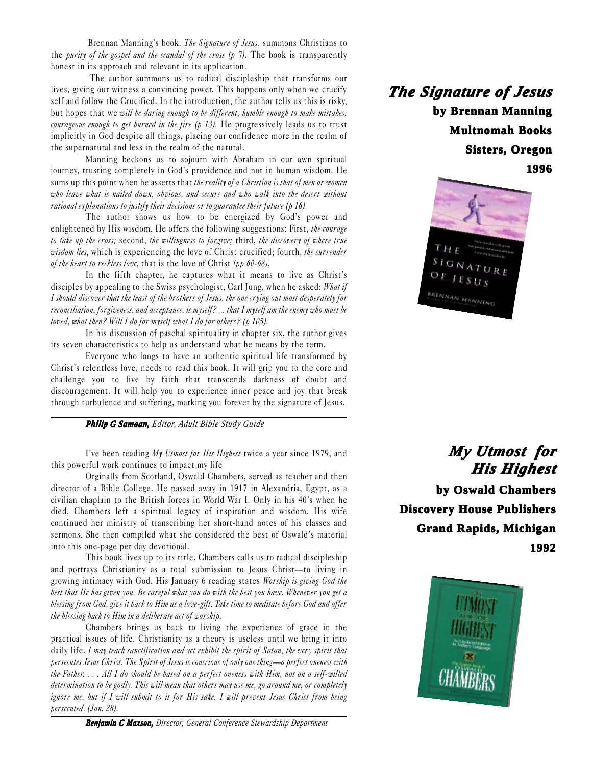Brennan Manning's book, The Signature of Jesus, summons Christians to the *purity of the gospel and the scandal of the cross (p 7)*. The book is transparently honest in its approach and relevant in its application.

 The author summons us to radical discipleship that transforms our lives, giving our witness a convincing power. This happens only when we crucify self and follow the Crucified. In the introduction, the author tells us this is risky, but hopes that we will be daring enough to be different, humble enough to make mistakes, courageous enough to get burned in the fire  $(p 13)$ . He progressively leads us to trust implicitly in God despite all things, placing our confidence more in the realm of the supernatural and less in the realm of the natural.

Manning beckons us to sojourn with Abraham in our own spiritual journey, trusting completely in God's providence and not in human wisdom. He sums up this point when he asserts that the reality of a Christian is that of men or women who leave what is nailed down, obvious, and secure and who walk into the desert without rational explanations to justify their decisions or to guarantee their future (p 16).

The author shows us how to be energized by God's power and enlightened by His wisdom. He offers the following suggestions: First, the courage to take up the cross; second, the willingness to forgive; third, the discovery of where true wisdom lies, which is experiencing the love of Christ crucified; fourth, the surrender of the heart to reckless love, that is the love of Christ ( $pp 60-68$ ).

In the fifth chapter, he captures what it means to live as Christ's disciples by appealing to the Swiss psychologist, Carl Jung, when he asked: What if I should discover that the least of the brothers of Jesus, the one crying out most desperately for reconciliation, forgiveness, and acceptance, is myself? ... that I myself am the enemy who must be loved, what then? Will I do for myself what I do for others? (p 105).

In his discussion of paschal spirituality in chapter six, the author gives its seven characteristics to help us understand what he means by the term.

Everyone who longs to have an authentic spiritual life transformed by Christ's relentless love, needs to read this book. It will grip you to the core and challenge you to live by faith that transcends darkness of doubt and discouragement. It will help you to experience inner peace and joy that break through turbulence and suffering, marking you forever by the signature of Jesus.

*Philip G Samaan, Editor, Adult Bible Study Guide*

I've been reading My Utmost for His Highest twice a year since 1979, and this powerful work continues to impact my life

Orginally from Scotland, Oswald Chambers, served as teacher and then director of a Bible College. He passed away in 1917 in Alexandria, Egypt, as a civilian chaplain to the British forces in World War I. Only in his 40's when he died, Chambers left a spiritual legacy of inspiration and wisdom. His wife continued her ministry of transcribing her short-hand notes of his classes and sermons. She then compiled what she considered the best of Oswald's material into this one-page per day devotional.

This book lives up to its title. Chambers calls us to radical discipleship and portrays Christianity as a total submission to Jesus Christ-to living in growing intimacy with God. His January 6 reading states Worship is giving God the best that He has given you. Be careful what you do with the best you have. Whenever you get a blessing from God, give it back to Him as a love-gift. Take time to meditate before God and offer the blessing back to Him in a deliberate act of worship.

Chambers brings us back to living the experience of grace in the practical issues of life. Christianity as a theory is useless until we bring it into daily life. I may teach sanctification and yet exhibit the spirit of Satan, the very spirit that persecutes Jesus Christ. The Spirit of Jesus is conscious of only one thing—a perfect oneness with the Father. . . . All I do should be based on a perfect oneness with Him, not on a self-willed determination to be godly. This will mean that others may use me, go around me, or completely ignore me, but if I will submit to it for His sake, I will prevent Jesus Christ from being persecuted. (Jan. 28).

*Benjamin C Maxson, Director, General Conference Stewardship Department*

*The Signa he Signature of Jesus*  **by Brennan Manning Multnomah Books Multnomah Books Sisters, Oregon 1996**



*My Utmost for His Highest His Highest* **by Oswald Chambers by Oswald Chambers Discovery House Publishers Grand Rapids, Michigan 1992**